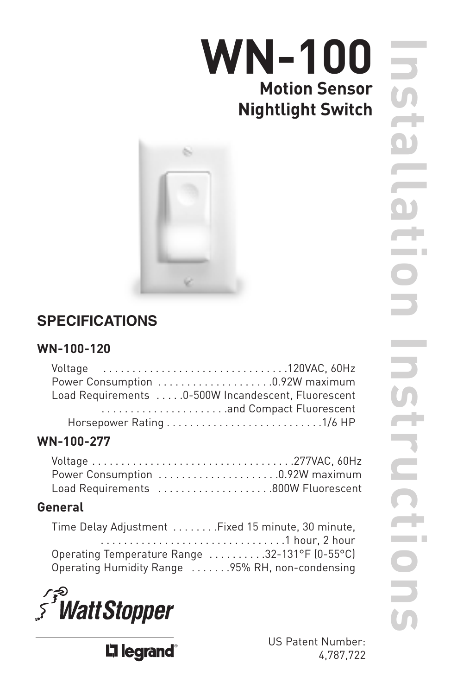# **WN-100 Motion Sensor Nightlight Switch**



# **SPECIFICATIONS**

### **WN-100-120**

| Load Requirements 0-500W Incandescent, Fluorescent |
|----------------------------------------------------|
|                                                    |
| Horsepower Rating 1/6 HP                           |

# **WN-100-277**

| Power Consumption 0.92W maximum    |  |
|------------------------------------|--|
| Load Requirements 800W Fluorescent |  |

# **General**

| Time Delay Adjustment  Fixed 15 minute, 30 minute, |  |
|----------------------------------------------------|--|
|                                                    |  |
| Operating Temperature Range 32-131°F (0-55°C)      |  |
| Operating Humidity Range 95% RH, non-condensing    |  |



Li legrand®

US Patent Number: 4,787,722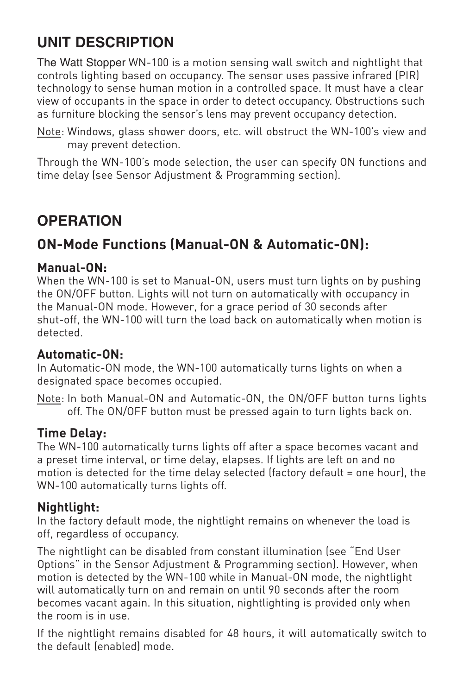# **UNIT DESCRIPTION**

The Watt Stopper WN-100 is a motion sensing wall switch and nightlight that controls lighting based on occupancy. The sensor uses passive infrared (PIR) technology to sense human motion in a controlled space. It must have a clear view of occupants in the space in order to detect occupancy. Obstructions such as furniture blocking the sensor's lens may prevent occupancy detection.

Note: Windows, glass shower doors, etc. will obstruct the WN-100's view and may prevent detection.

Through the WN-100's mode selection, the user can specify ON functions and time delay (see Sensor Adjustment & Programming section).

# **OPERATION**

# **ON-Mode Functions (Manual-ON & Automatic-ON):**

### **Manual-ON:**

When the WN-100 is set to Manual-ON, users must turn lights on by pushing the ON/OFF button. Lights will not turn on automatically with occupancy in the Manual-ON mode. However, for a grace period of 30 seconds after shut-off, the WN-100 will turn the load back on automatically when motion is detected.

### **Automatic-ON:**

In Automatic-ON mode, the WN-100 automatically turns lights on when a designated space becomes occupied.

Note: In both Manual-ON and Automatic-ON, the ON/OFF button turns lights off. The ON/OFF button must be pressed again to turn lights back on.

### **Time Delay:**

The WN-100 automatically turns lights off after a space becomes vacant and a preset time interval, or time delay, elapses. If lights are left on and no motion is detected for the time delay selected (factory default = one hour), the WN-100 automatically turns lights off.

### **Nightlight:**

In the factory default mode, the nightlight remains on whenever the load is off, regardless of occupancy.

The nightlight can be disabled from constant illumination (see "End User Options" in the Sensor Adjustment & Programming section). However, when motion is detected by the WN-100 while in Manual-ON mode, the nightlight will automatically turn on and remain on until 90 seconds after the room becomes vacant again. In this situation, nightlighting is provided only when the room is in use.

If the nightlight remains disabled for 48 hours, it will automatically switch to the default (enabled) mode.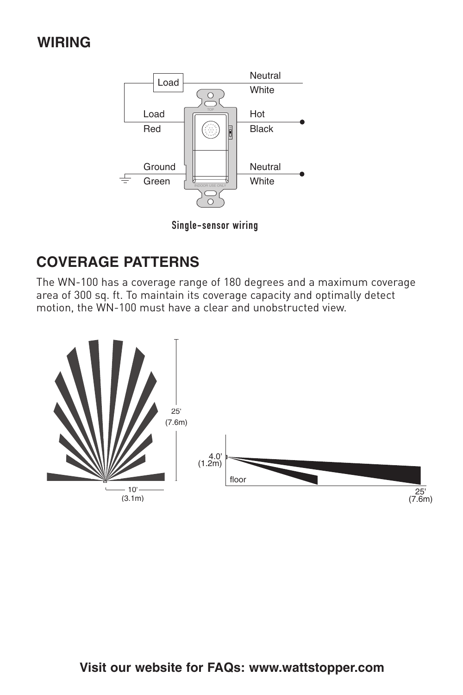# **WIRING**



Single-sensor wiring

# **COVERAGE PATTERNS**

The WN-100 has a coverage range of 180 degrees and a maximum coverage area of 300 sq. ft. To maintain its coverage capacity and optimally detect motion, the WN-100 must have a clear and unobstructed view.

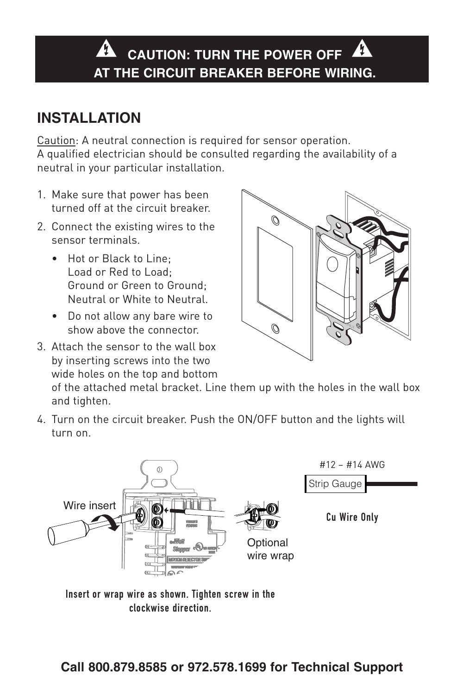#### Λ **CAUTION: TURN THE POWER OFF AT THE CIRCUIT BREAKER BEFORE WIRING.**

# **INSTALLATION**

Caution: A neutral connection is required for sensor operation. A qualified electrician should be consulted regarding the availability of a neutral in your particular installation.

- 1. Make sure that power has been turned off at the circuit breaker.
- 2. Connect the existing wires to the sensor terminals.
	- Hot or Black to Line; Load or Red to Load; Ground or Green to Ground; Neutral or White to Neutral.
	- Do not allow any bare wire to show above the connector.
- 3. Attach the sensor to the wall box by inserting screws into the two wide holes on the top and bottom



of the attached metal bracket. Line them up with the holes in the wall box and tighten.

4. Turn on the circuit breaker. Push the ON/OFF button and the lights will turn on.



Insert or wrap wire as shown. Tighten screw in the clockwise direction.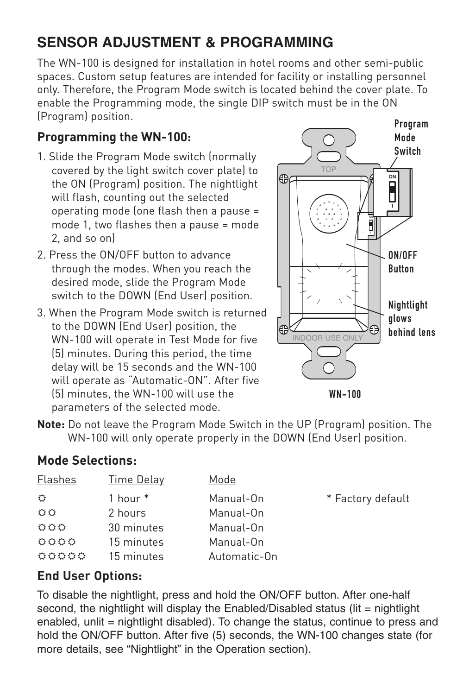# **SENSOR ADJUSTMENT & PROGRAMMING**

The WN-100 is designed for installation in hotel rooms and other semi-public spaces. Custom setup features are intended for facility or installing personnel only. Therefore, the Program Mode switch is located behind the cover plate. To enable the Programming mode, the single DIP switch must be in the ON (Program) position.

## **Programming the WN-100:**

- 1. Slide the Program Mode switch (normally covered by the light switch cover plate) to the ON (Program) position. The nightlight will flash, counting out the selected operating mode (one flash then a pause = mode 1, two flashes then a pause = mode 2, and so on)
- 2. Press the ON/OFF button to advance through the modes. When you reach the desired mode, slide the Program Mode switch to the DOWN (End User) position.
- 3. When the Program Mode switch is returned to the DOWN (End User) position, the WN-100 will operate in Test Mode for five (5) minutes. During this period, the time delay will be 15 seconds and the WN-100 will operate as "Automatic-ON". After five (5) minutes, the WN-100 will use the parameters of the selected mode. WN-100



**Note:** Do not leave the Program Mode Switch in the UP (Program) position. The WN-100 will only operate properly in the DOWN (End User) position.

### **Mode Selections:**

| Flashes | Time Delay | Mode         |                   |
|---------|------------|--------------|-------------------|
| ٥       | 1 hour *   | Manual-On    | * Factory default |
| ٥o      | 2 hours    | Manual-On    |                   |
| 000     | 30 minutes | Manual-On    |                   |
| 0000    | 15 minutes | Manual-On    |                   |
| 00000   | 15 minutes | Automatic-On |                   |

### **End User Options:**

To disable the nightlight, press and hold the ON/OFF button. After one-half second, the nightlight will display the Enabled/Disabled status (lit = nightlight enabled, unlit = nightlight disabled). To change the status, continue to press and hold the ON/OFF button. After five (5) seconds, the WN-100 changes state (for more details, see "Nightlight" in the Operation section).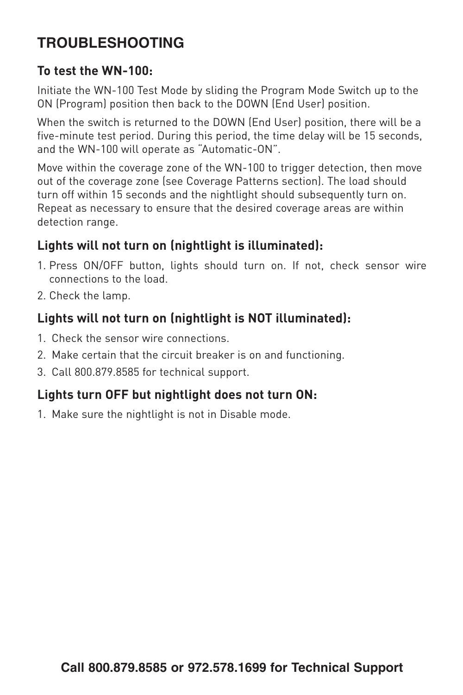# **TROUBLESHOOTING**

### **To test the WN-100:**

Initiate the WN-100 Test Mode by sliding the Program Mode Switch up to the ON (Program) position then back to the DOWN (End User) position.

When the switch is returned to the DOWN (End User) position, there will be a five-minute test period. During this period, the time delay will be 15 seconds, and the WN-100 will operate as "Automatic-ON".

Move within the coverage zone of the WN-100 to trigger detection, then move out of the coverage zone (see Coverage Patterns section). The load should turn off within 15 seconds and the nightlight should subsequently turn on. Repeat as necessary to ensure that the desired coverage areas are within detection range.

# **Lights will not turn on (nightlight is illuminated):**

- 1. Press ON/OFF button, lights should turn on. If not, check sensor wire connections to the load.
- 2. Check the lamp.

# **Lights will not turn on (nightlight is NOT illuminated):**

- 1. Check the sensor wire connections.
- 2. Make certain that the circuit breaker is on and functioning.
- 3. Call 800.879.8585 for technical support.

### **Lights turn OFF but nightlight does not turn ON:**

1. Make sure the nightlight is not in Disable mode.